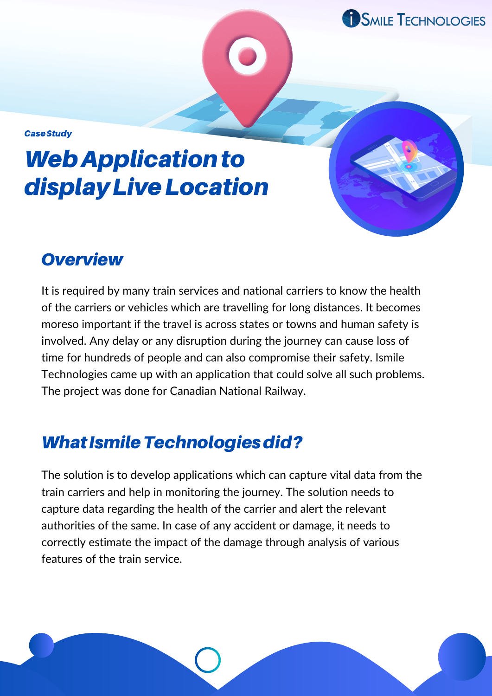**SMILE TECHNOLOGIES** 

**Case Study** 

# **Web Application to** displayLiveLocation

#### **Overview**

It is required by many train services and national carriers to know the health of the carriers or vehicles which are travelling for long distances. It becomes moreso important if the travel is across states or towns and human safety is involved. Any delay or any disruption during the journey can cause loss of time for hundreds of people and can also compromise their safety. Ismile Technologies came up with an application that could solve all such problems. The project was done for Canadian National Railway.

### What Ismile Technologies did?

The solution is to develop applications which can capture vital data from the train carriers and help in monitoring the journey. The solution needs to capture data regarding the health of the carrier and alert the relevant authorities of the same. In case of any accident or damage, it needs to correctly estimate the impact of the damage through analysis of various features of the train service.